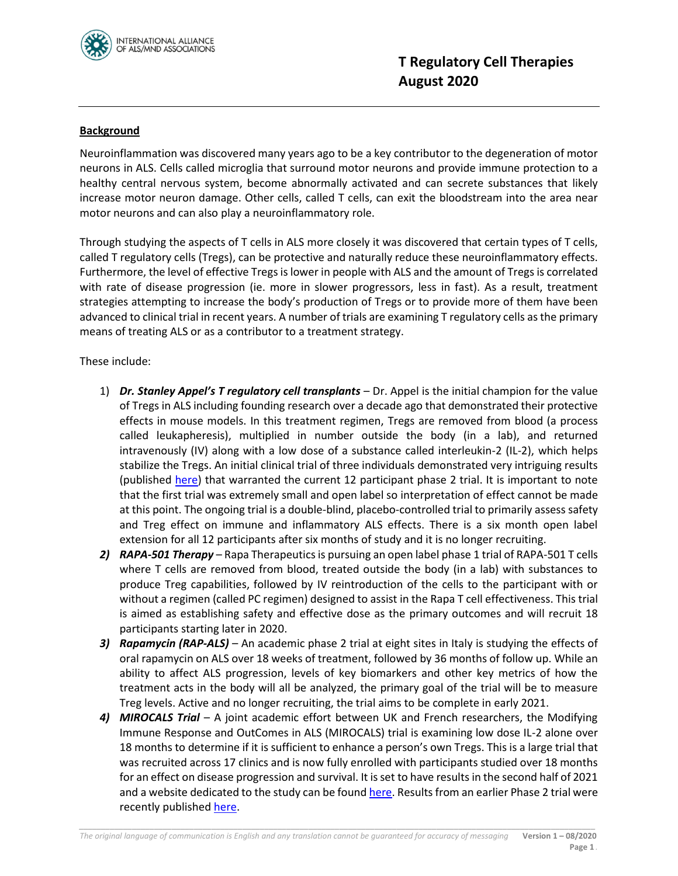

## **Background**

Neuroinflammation was discovered many years ago to be a key contributor to the degeneration of motor neurons in ALS. Cells called microglia that surround motor neurons and provide immune protection to a healthy central nervous system, become abnormally activated and can secrete substances that likely increase motor neuron damage. Other cells, called T cells, can exit the bloodstream into the area near motor neurons and can also play a neuroinflammatory role.

Through studying the aspects of T cells in ALS more closely it was discovered that certain types of T cells, called T regulatory cells (Tregs), can be protective and naturally reduce these neuroinflammatory effects. Furthermore, the level of effective Tregs is lower in people with ALS and the amount of Tregs is correlated with rate of disease progression (ie. more in slower progressors, less in fast). As a result, treatment strategies attempting to increase the body's production of Tregs or to provide more of them have been advanced to clinical trial in recent years. A number of trials are examining T regulatory cells as the primary means of treating ALS or as a contributor to a treatment strategy.

These include:

- 1) *Dr. Stanley Appel's T regulatory cell transplants* Dr. Appel is the initial champion for the value of Tregs in ALS including founding research over a decade ago that demonstrated their protective effects in mouse models. In this treatment regimen, Tregs are removed from blood (a process called leukapheresis), multiplied in number outside the body (in a lab), and returned intravenously (IV) along with a low dose of a substance called interleukin-2 (IL-2), which helps stabilize the Tregs. An initial clinical trial of three individuals demonstrated very intriguing results (published [here\)](https://www.ncbi.nlm.nih.gov/pmc/articles/PMC5961523/) that warranted the current 12 participant phase 2 trial. It is important to note that the first trial was extremely small and open label so interpretation of effect cannot be made at this point. The ongoing trial is a double-blind, placebo-controlled trial to primarily assess safety and Treg effect on immune and inflammatory ALS effects. There is a six month open label extension for all 12 participants after six months of study and it is no longer recruiting.
- *2) RAPA-501 Therapy* Rapa Therapeutics is pursuing an open label phase 1 trial of RAPA-501 T cells where T cells are removed from blood, treated outside the body (in a lab) with substances to produce Treg capabilities, followed by IV reintroduction of the cells to the participant with or without a regimen (called PC regimen) designed to assist in the Rapa T cell effectiveness. This trial is aimed as establishing safety and effective dose as the primary outcomes and will recruit 18 participants starting later in 2020.
- *3) Rapamycin (RAP-ALS)* An academic phase 2 trial at eight sites in Italy is studying the effects of oral rapamycin on ALS over 18 weeks of treatment, followed by 36 months of follow up. While an ability to affect ALS progression, levels of key biomarkers and other key metrics of how the treatment acts in the body will all be analyzed, the primary goal of the trial will be to measure Treg levels. Active and no longer recruiting, the trial aims to be complete in early 2021.
- *4) MIROCALS Trial* A joint academic effort between UK and French researchers, the Modifying Immune Response and OutComes in ALS (MIROCALS) trial is examining low dose IL-2 alone over 18 months to determine if it is sufficient to enhance a person's own Tregs. This is a large trial that was recruited across 17 clinics and is now fully enrolled with participants studied over 18 months for an effect on disease progression and survival. It is set to have results in the second half of 2021 and a website dedicated to the study can be foun[d here.](https://www.mirocals.eu/en/) Results from an earlier Phase 2 trial were recently published [here.](https://www.thelancet.com/journals/ebiom/article/PIIS2352-3964(20)30219-X/fulltext)